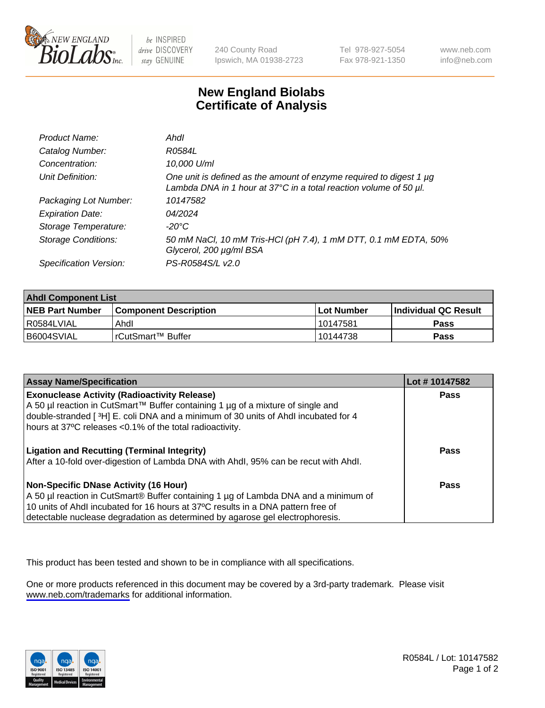

be INSPIRED drive DISCOVERY stay GENUINE

240 County Road Ipswich, MA 01938-2723 Tel 978-927-5054 Fax 978-921-1350

www.neb.com info@neb.com

## **New England Biolabs Certificate of Analysis**

| Product Name:              | Ahdl                                                                                                                                                    |
|----------------------------|---------------------------------------------------------------------------------------------------------------------------------------------------------|
| Catalog Number:            | R0584L                                                                                                                                                  |
| Concentration:             | 10,000 U/ml                                                                                                                                             |
| Unit Definition:           | One unit is defined as the amount of enzyme required to digest 1 µg<br>Lambda DNA in 1 hour at $37^{\circ}$ C in a total reaction volume of 50 $\mu$ l. |
| Packaging Lot Number:      | 10147582                                                                                                                                                |
| <b>Expiration Date:</b>    | 04/2024                                                                                                                                                 |
| Storage Temperature:       | -20°C                                                                                                                                                   |
| <b>Storage Conditions:</b> | 50 mM NaCl, 10 mM Tris-HCl (pH 7.4), 1 mM DTT, 0.1 mM EDTA, 50%<br>Glycerol, 200 µg/ml BSA                                                              |
| Specification Version:     | PS-R0584S/L v2.0                                                                                                                                        |

| <b>Ahdl Component List</b> |                              |            |                             |  |
|----------------------------|------------------------------|------------|-----------------------------|--|
| <b>NEB Part Number</b>     | <b>Component Description</b> | Lot Number | <b>Individual QC Result</b> |  |
| R0584LVIAL                 | Ahdl                         | 10147581   | Pass                        |  |
| I B6004SVIAL               | l rCutSmart™ Buffer          | 10144738   | Pass                        |  |

| <b>Assay Name/Specification</b>                                                                                                                                                                                                                                                                   | Lot #10147582 |
|---------------------------------------------------------------------------------------------------------------------------------------------------------------------------------------------------------------------------------------------------------------------------------------------------|---------------|
| <b>Exonuclease Activity (Radioactivity Release)</b><br>A 50 µl reaction in CutSmart™ Buffer containing 1 µg of a mixture of single and<br>double-stranded [3H] E. coli DNA and a minimum of 30 units of Ahdl incubated for 4                                                                      | <b>Pass</b>   |
| hours at 37°C releases <0.1% of the total radioactivity.<br><b>Ligation and Recutting (Terminal Integrity)</b><br>After a 10-fold over-digestion of Lambda DNA with Ahdl, 95% can be recut with Ahdl.                                                                                             | Pass          |
| Non-Specific DNase Activity (16 Hour)<br>A 50 µl reaction in CutSmart® Buffer containing 1 µg of Lambda DNA and a minimum of<br>10 units of Ahdl incubated for 16 hours at 37°C results in a DNA pattern free of<br>detectable nuclease degradation as determined by agarose gel electrophoresis. | Pass          |

This product has been tested and shown to be in compliance with all specifications.

One or more products referenced in this document may be covered by a 3rd-party trademark. Please visit <www.neb.com/trademarks>for additional information.